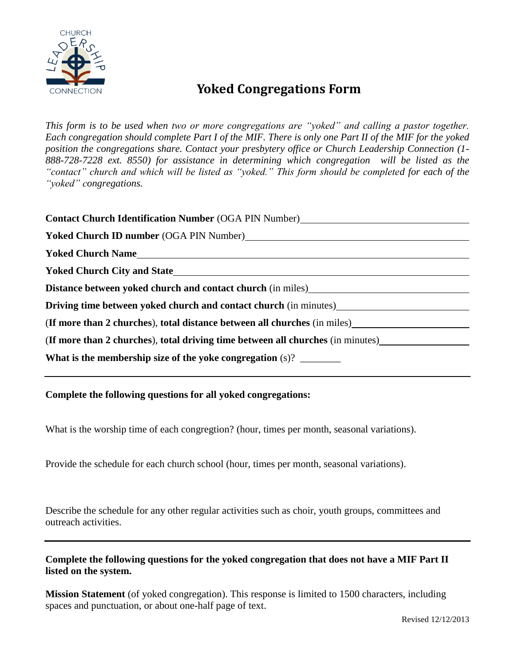

## **Yoked Congregations Form**

*This form is to be used when two or more congregations are "yoked" and calling a pastor together. Each congregation should complete Part I of the MIF. There is only one Part II of the MIF for the yoked position the congregations share. Contact your presbytery office or Church Leadership Connection (1- 888-728-7228 ext. 8550) for assistance in determining which congregation will be listed as the "contact" church and which will be listed as "yoked." This form should be completed for each of the "yoked" congregations.*

| Contact Church Identification Number (OGA PIN Number)<br><u>Contact Church Identification Number (OGA PIN Number)</u>                         |
|-----------------------------------------------------------------------------------------------------------------------------------------------|
|                                                                                                                                               |
| <b>Yoked Church Name</b>                                                                                                                      |
|                                                                                                                                               |
| Distance between yoked church and contact church (in miles)<br><u>Distance between yoked church and contact church (in miles)</u>             |
| Driving time between yoked church and contact church (in minutes)<br><u>Letting</u> time between yoked church and contact church (in minutes) |
| (If more than 2 churches), total distance between all churches (in miles)                                                                     |
| (If more than 2 churches), total driving time between all churches (in minutes)                                                               |
|                                                                                                                                               |

**Complete the following questions for all yoked congregations:**

What is the worship time of each congregtion? (hour, times per month, seasonal variations).

Provide the schedule for each church school (hour, times per month, seasonal variations).

Describe the schedule for any other regular activities such as choir, youth groups, committees and outreach activities.

**Complete the following questions for the yoked congregation that does not have a MIF Part II listed on the system.**

**Mission Statement** (of yoked congregation). This response is limited to 1500 characters, including spaces and punctuation, or about one-half page of text.